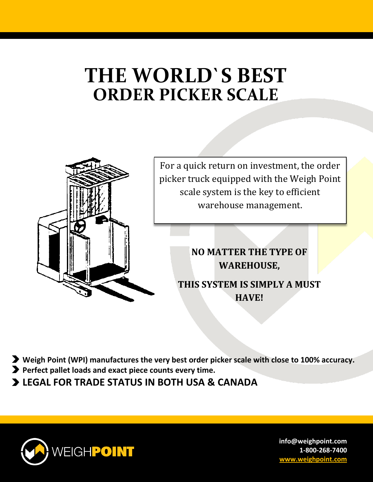## **THE WORLD`S BEST ORDER PICKER SCALE**



- **Weigh Point (WPI) manufactures the very best order picker scale with close to 100% accuracy.**
- **Perfect pallet loads and exact piece counts every time.**
- **LEGAL FOR TRADE STATUS IN BOTH USA & CANADA**

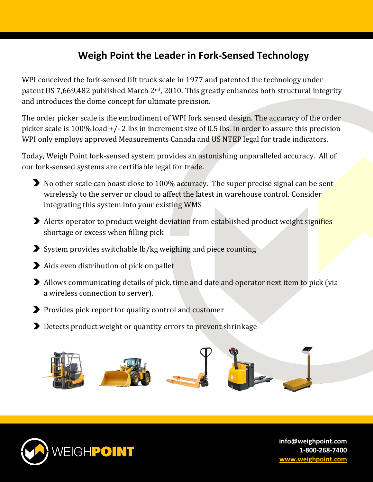## **Weigh Point the Leader in Fork-Sensed Technology**

WPI conceived the fork-sensed lift truck scale in 1977 and patented the technology under patent US 7,669,482 published March 2<sup>nd</sup>, 2010. This greatly enhances both structural integrity and introduces the dome concept for ultimate precision.

The order picker scale is the embodiment of WPI fork sensed design. The accuracy of the order picker scale is 100% load +/- 2 lbs in increment size of 0.5 lbs. In order to assure this precision WPI only employs approved Measurements Canada and US NTEP legal for trade indicators.

Today, Weigh Point fork-sensed system provides an astonishing unparalleled accuracy. All of our fork-sensed systems are certifiable legal for trade.

- No other scale can boast close to 100% accuracy. The super precise signal can be sent wirelessly to the server or cloud to affect the latest in warehouse control. Consider integrating this system into your existing WMS
- Alerts operator to product weight deviation from established product weight signifies shortage or excess when filling pick
- $\blacktriangleright$  System provides switchable lb/kg weighing and piece counting
- Aids even distribution of pick on pallet
- Allows communicating details of pick, time and date and operator next item to pick (via a wireless connection to server).
- **Provides pick report for quality control and customer**
- Detects product weight or quantity errors to prevent shrinkage



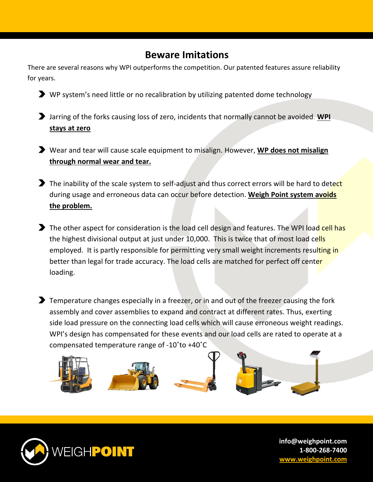## **Beware Imitations**

There are several reasons why WPI outperforms the competition. Our patented features assure reliability for years.

- WP system's need little or no recalibration by utilizing patented dome technology
- Jarring of the forks causing loss of zero, incidents that normally cannot be avoided. **WPI stays at zero**
- Wear and tear will cause scale equipment to misalign. However, **WP does not misalign through normal wear and tear.**
- The inability of the scale system to self-adjust and thus correct errors will be hard to detect during usage and erroneous data can occur before detection. **Weigh Point system avoids the problem.**
- The other aspect for consideration is the load cell design and features. The WPI load cell has the highest divisional output at just under 10,000. This is twice that of most load cells employed. It is partly responsible for permitting very small weight increments resulting in better than legal for trade accuracy. The load cells are matched for perfect off center loading.
- **T** Temperature changes especially in a freezer, or in and out of the freezer causing the fork assembly and cover assemblies to expand and contract at different rates. Thus, exerting side load pressure on the connecting load cells which will cause erroneous weight readings. WPI's design has compensated for these events and our load cells are rated to operate at a compensated temperature range of -10˚to +40˚C